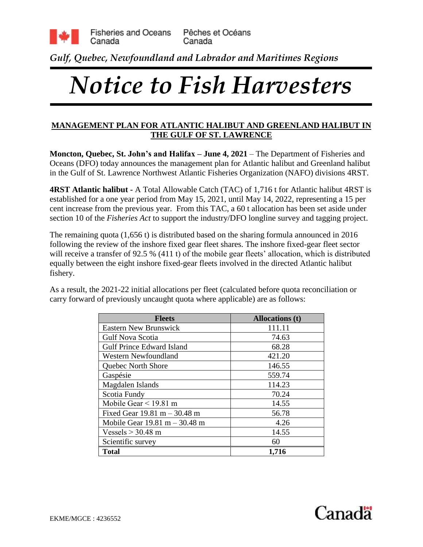

*Gulf, Quebec, Newfoundland and Labrador and Maritimes Regions*

# *Notice to Fish Harvesters*

### **MANAGEMENT PLAN FOR ATLANTIC HALIBUT AND GREENLAND HALIBUT IN THE GULF OF ST. LAWRENCE**

**Moncton, Quebec, St. John's and Halifax – June 4, 2021** – The Department of Fisheries and Oceans (DFO) today announces the management plan for Atlantic halibut and Greenland halibut in the Gulf of St. Lawrence Northwest Atlantic Fisheries Organization (NAFO) divisions 4RST.

**4RST Atlantic halibut -** A Total Allowable Catch (TAC) of 1,716 t for Atlantic halibut 4RST is established for a one year period from May 15, 2021, until May 14, 2022, representing a 15 per cent increase from the previous year. From this TAC, a 60 t allocation has been set aside under section 10 of the *Fisheries Act* to support the industry/DFO longline survey and tagging project.

The remaining quota (1,656 t) is distributed based on the sharing formula announced in 2016 following the review of the inshore fixed gear fleet shares. The inshore fixed-gear fleet sector will receive a transfer of 92.5 % (411 t) of the mobile gear fleets' allocation, which is distributed equally between the eight inshore fixed-gear fleets involved in the directed Atlantic halibut fishery.

As a result, the 2021-22 initial allocations per fleet (calculated before quota reconciliation or carry forward of previously uncaught quota where applicable) are as follows:

| <b>Fleets</b>                                   | <b>Allocations</b> (t) |
|-------------------------------------------------|------------------------|
| <b>Eastern New Brunswick</b>                    | 111.11                 |
| <b>Gulf Nova Scotia</b>                         | 74.63                  |
| <b>Gulf Prince Edward Island</b>                | 68.28                  |
| <b>Western Newfoundland</b>                     | 421.20                 |
| Quebec North Shore                              | 146.55                 |
| Gaspésie                                        | 559.74                 |
| Magdalen Islands                                | 114.23                 |
| Scotia Fundy                                    | 70.24                  |
| Mobile Gear $<$ 19.81 m                         | 14.55                  |
| Fixed Gear $19.81 \text{ m} - 30.48 \text{ m}$  | 56.78                  |
| Mobile Gear $19.81 \text{ m} - 30.48 \text{ m}$ | 4.26                   |
| Vessels $>$ 30.48 m                             | 14.55                  |
| Scientific survey                               | 60                     |
| <b>Total</b>                                    | 1,716                  |

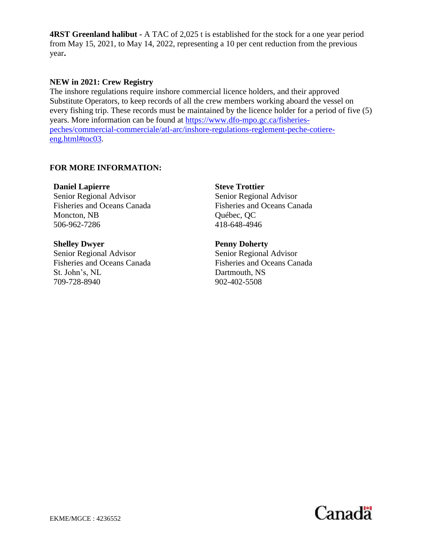**4RST Greenland halibut -** A TAC of 2,025 t is established for the stock for a one year period from May 15, 2021, to May 14, 2022, representing a 10 per cent reduction from the previous year**.**

#### **NEW in 2021: Crew Registry**

The inshore regulations require inshore commercial licence holders, and their approved Substitute Operators, to keep records of all the crew members working aboard the vessel on every fishing trip. These records must be maintained by the licence holder for a period of five (5) years. More information can be found at [https://www.dfo-mpo.gc.ca/fisheries](https://www.dfo-mpo.gc.ca/fisheries-peches/commercial-commerciale/atl-arc/inshore-regulations-reglement-peche-cotiere-eng.html#toc03)[peches/commercial-commerciale/atl-arc/inshore-regulations-reglement-peche-cotiere](https://www.dfo-mpo.gc.ca/fisheries-peches/commercial-commerciale/atl-arc/inshore-regulations-reglement-peche-cotiere-eng.html#toc03)[eng.html#toc03.](https://www.dfo-mpo.gc.ca/fisheries-peches/commercial-commerciale/atl-arc/inshore-regulations-reglement-peche-cotiere-eng.html#toc03)

# **FOR MORE INFORMATION:**

**Daniel Lapierre** Senior Regional Advisor Fisheries and Oceans Canada Moncton, NB 506-962-7286

**Shelley Dwyer** Senior Regional Advisor Fisheries and Oceans Canada St. John's, NL 709-728-8940

**Steve Trottier** Senior Regional Advisor Fisheries and Oceans Canada Québec, QC 418-648-4946

**Penny Doherty** Senior Regional Advisor Fisheries and Oceans Canada Dartmouth, NS 902-402-5508

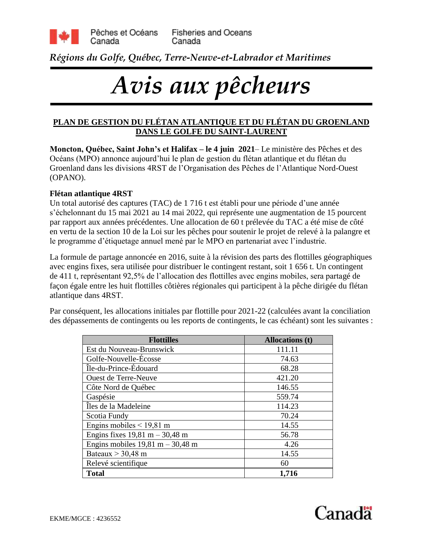

*Régions du Golfe, Québec, Terre-Neuve-et-Labrador et Maritimes*

# *Avis aux pêcheurs*

# **PLAN DE GESTION DU FLÉTAN ATLANTIQUE ET DU FLÉTAN DU GROENLAND DANS LE GOLFE DU SAINT-LAURENT**

**Moncton, Québec, Saint John's et Halifax – le 4 juin 2021**– Le ministère des Pêches et des Océans (MPO) annonce aujourd'hui le plan de gestion du flétan atlantique et du flétan du Groenland dans les divisions 4RST de l'Organisation des Pêches de l'Atlantique Nord-Ouest (OPANO).

# **Flétan atlantique 4RST**

Un total autorisé des captures (TAC) de 1 716 t est établi pour une période d'une année s'échelonnant du 15 mai 2021 au 14 mai 2022, qui représente une augmentation de 15 pourcent par rapport aux années précédentes. Une allocation de 60 t prélevée du TAC a été mise de côté en vertu de la section 10 de la Loi sur les pêches pour soutenir le projet de relevé à la palangre et le programme d'étiquetage annuel mené par le MPO en partenariat avec l'industrie.

La formule de partage annoncée en 2016, suite à la révision des parts des flottilles géographiques avec engins fixes, sera utilisée pour distribuer le contingent restant, soit 1 656 t. Un contingent de 411 t, représentant 92,5% de l'allocation des flottilles avec engins mobiles, sera partagé de façon égale entre les huit flottilles côtières régionales qui participent à la pêche dirigée du flétan atlantique dans 4RST.

Par conséquent, les allocations initiales par flottille pour 2021-22 (calculées avant la conciliation des dépassements de contingents ou les reports de contingents, le cas échéant) sont les suivantes :

| <b>Flottilles</b>                                  | <b>Allocations (t)</b> |
|----------------------------------------------------|------------------------|
| Est du Nouveau-Brunswick                           | 111.11                 |
| Golfe-Nouvelle-Écosse                              | 74.63                  |
| Île-du-Prince-Édouard                              | 68.28                  |
| <b>Ouest de Terre-Neuve</b>                        | 421.20                 |
| Côte Nord de Québec                                | 146.55                 |
| Gaspésie                                           | 559.74                 |
| Îles de la Madeleine                               | 114.23                 |
| Scotia Fundy                                       | 70.24                  |
| Engins mobiles $<$ 19,81 m                         | 14.55                  |
| Engins fixes $19,81 \text{ m} - 30,48 \text{ m}$   | 56.78                  |
| Engins mobiles $19,81 \text{ m} - 30,48 \text{ m}$ | 4.26                   |
| Bateaux $>$ 30,48 m                                | 14.55                  |
| Relevé scientifique                                | 60                     |
| <b>Total</b>                                       | 1,716                  |